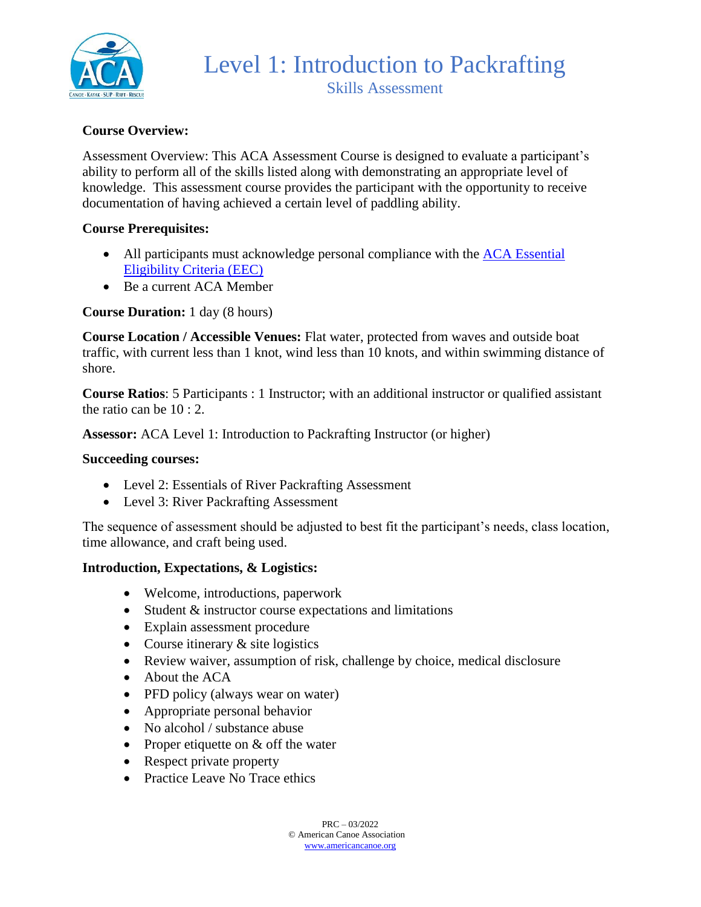

## **Course Overview:**

Assessment Overview: This ACA Assessment Course is designed to evaluate a participant's ability to perform all of the skills listed along with demonstrating an appropriate level of knowledge. This assessment course provides the participant with the opportunity to receive documentation of having achieved a certain level of paddling ability.

### **Course Prerequisites:**

- All participants must acknowledge personal compliance with the ACA Essential [Eligibility Criteria \(EEC\)](https://americancanoe.org/essential-eligibility-criteria/)
- Be a current ACA Member

### **Course Duration:** 1 day (8 hours)

**Course Location / Accessible Venues:** Flat water, protected from waves and outside boat traffic, with current less than 1 knot, wind less than 10 knots, and within swimming distance of shore.

**Course Ratios**: 5 Participants : 1 Instructor; with an additional instructor or qualified assistant the ratio can be 10 : 2.

**Assessor:** ACA Level 1: Introduction to Packrafting Instructor (or higher)

#### **Succeeding courses:**

- Level 2: Essentials of River Packrafting Assessment
- Level 3: River Packrafting Assessment

The sequence of assessment should be adjusted to best fit the participant's needs, class location, time allowance, and craft being used.

#### **Introduction, Expectations, & Logistics:**

- Welcome, introductions, paperwork
- Student & instructor course expectations and limitations
- Explain assessment procedure
- Course itinerary  $&$  site logistics
- Review waiver, assumption of risk, challenge by choice, medical disclosure
- About the ACA
- PFD policy (always wear on water)
- Appropriate personal behavior
- No alcohol / substance abuse
- Proper etiquette on & off the water
- Respect private property
- Practice Leave No Trace ethics

 $PRC = 03/2022$ © American Canoe Association [www.americancanoe.org](http://www.americancanoe.org/)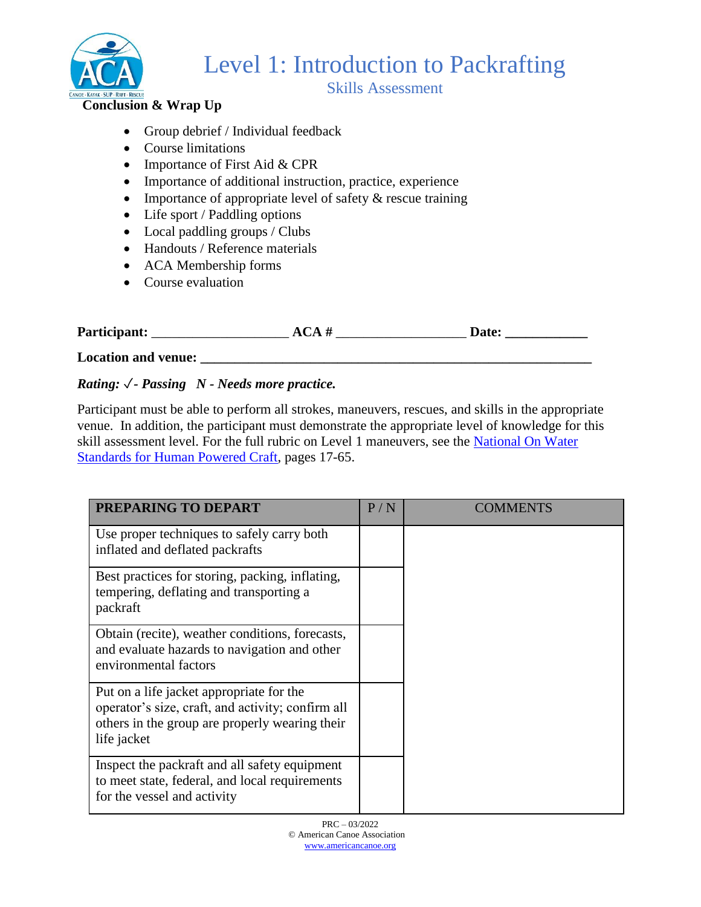

Skills Assessment

### **Conclusion & Wrap Up**

- Group debrief / Individual feedback
- Course limitations
- Importance of First Aid & CPR
- Importance of additional instruction, practice, experience
- Importance of appropriate level of safety  $\&$  rescue training
- Life sport / Paddling options
- Local paddling groups / Clubs
- Handouts / Reference materials
- ACA Membership forms
- Course evaluation

| Participant:        | ACA# | <b>Date:</b> |
|---------------------|------|--------------|
| Location and venue: |      |              |

### *Rating:* ✓*- Passing N - Needs more practice.*

Participant must be able to perform all strokes, maneuvers, rescues, and skills in the appropriate venue. In addition, the participant must demonstrate the appropriate level of knowledge for this skill assessment level. For the full rubric on Level 1 maneuvers, see the [National On Water](https://www.usnows.org/_files/ugd/abe9a2_5958ad4024494bfeb128e7bf97d09503.pdf)  [Standards for Human Powered Craft,](https://www.usnows.org/_files/ugd/abe9a2_5958ad4024494bfeb128e7bf97d09503.pdf) pages 17-65.

| PREPARING TO DEPART                                                                                                                                            | P/N | COMMENTS |
|----------------------------------------------------------------------------------------------------------------------------------------------------------------|-----|----------|
| Use proper techniques to safely carry both<br>inflated and deflated packrafts                                                                                  |     |          |
| Best practices for storing, packing, inflating,<br>tempering, deflating and transporting a<br>packraft                                                         |     |          |
| Obtain (recite), weather conditions, forecasts,<br>and evaluate hazards to navigation and other<br>environmental factors                                       |     |          |
| Put on a life jacket appropriate for the<br>operator's size, craft, and activity; confirm all<br>others in the group are properly wearing their<br>life jacket |     |          |
| Inspect the packraft and all safety equipment<br>to meet state, federal, and local requirements<br>for the vessel and activity                                 |     |          |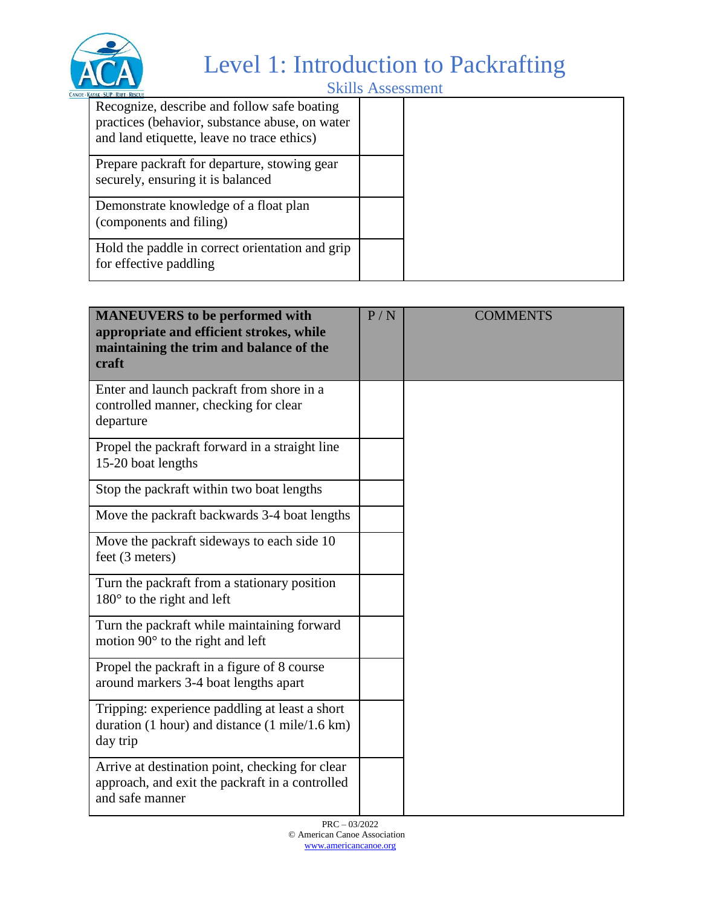

Skills Assessment

| Recognize, describe and follow safe boating<br>practices (behavior, substance abuse, on water<br>and land etiquette, leave no trace ethics) |  |
|---------------------------------------------------------------------------------------------------------------------------------------------|--|
| Prepare packraft for departure, stowing gear<br>securely, ensuring it is balanced                                                           |  |
| Demonstrate knowledge of a float plan<br>(components and filing)                                                                            |  |
| Hold the paddle in correct orientation and grip<br>for effective paddling                                                                   |  |

| <b>MANEUVERS</b> to be performed with<br>appropriate and efficient strokes, while<br>maintaining the trim and balance of the<br>craft | P/N | <b>COMMENTS</b> |
|---------------------------------------------------------------------------------------------------------------------------------------|-----|-----------------|
| Enter and launch packraft from shore in a<br>controlled manner, checking for clear<br>departure                                       |     |                 |
| Propel the packraft forward in a straight line<br>15-20 boat lengths                                                                  |     |                 |
| Stop the packraft within two boat lengths                                                                                             |     |                 |
| Move the packraft backwards 3-4 boat lengths                                                                                          |     |                 |
| Move the packraft sideways to each side 10<br>feet (3 meters)                                                                         |     |                 |
| Turn the packraft from a stationary position<br>$180^{\circ}$ to the right and left                                                   |     |                 |
| Turn the packraft while maintaining forward<br>motion $90^\circ$ to the right and left                                                |     |                 |
| Propel the packraft in a figure of 8 course<br>around markers 3-4 boat lengths apart                                                  |     |                 |
| Tripping: experience paddling at least a short<br>duration $(1 hour)$ and distance $(1 mile/1.6 km)$<br>day trip                      |     |                 |
| Arrive at destination point, checking for clear<br>approach, and exit the packraft in a controlled<br>and safe manner                 |     |                 |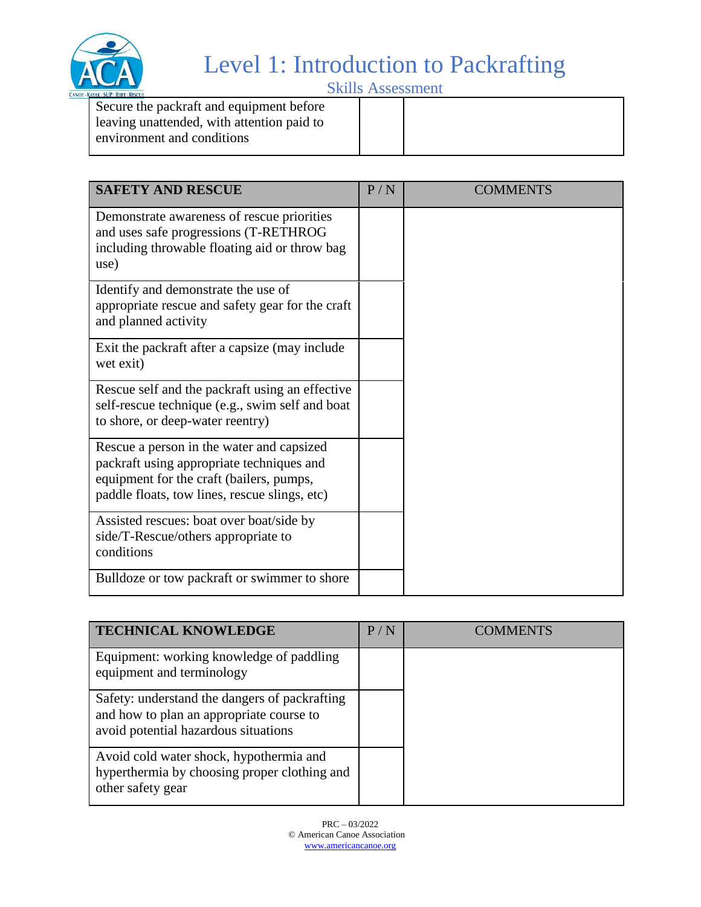

Skills Assessment

| Secure the packraft and equipment before<br>leaving unattended, with attention paid to<br>environment and conditions |  |
|----------------------------------------------------------------------------------------------------------------------|--|
|                                                                                                                      |  |

| <b>SAFETY AND RESCUE</b>                                                                                                                                                            | P/N | <b>COMMENTS</b> |
|-------------------------------------------------------------------------------------------------------------------------------------------------------------------------------------|-----|-----------------|
| Demonstrate awareness of rescue priorities<br>and uses safe progressions (T-RETHROG<br>including throwable floating aid or throw bag<br>use)                                        |     |                 |
| Identify and demonstrate the use of<br>appropriate rescue and safety gear for the craft<br>and planned activity                                                                     |     |                 |
| Exit the packraft after a capsize (may include<br>wet exit)                                                                                                                         |     |                 |
| Rescue self and the packraft using an effective<br>self-rescue technique (e.g., swim self and boat<br>to shore, or deep-water reentry)                                              |     |                 |
| Rescue a person in the water and capsized<br>packraft using appropriate techniques and<br>equipment for the craft (bailers, pumps,<br>paddle floats, tow lines, rescue slings, etc) |     |                 |
| Assisted rescues: boat over boat/side by<br>side/T-Rescue/others appropriate to<br>conditions                                                                                       |     |                 |
| Bulldoze or tow packraft or swimmer to shore                                                                                                                                        |     |                 |

| <b>TECHNICAL KNOWLEDGE</b>                                                                                                        | P/N | COMMENTS |
|-----------------------------------------------------------------------------------------------------------------------------------|-----|----------|
| Equipment: working knowledge of paddling<br>equipment and terminology                                                             |     |          |
| Safety: understand the dangers of packrafting<br>and how to plan an appropriate course to<br>avoid potential hazardous situations |     |          |
| Avoid cold water shock, hypothermia and<br>hyperthermia by choosing proper clothing and<br>other safety gear                      |     |          |